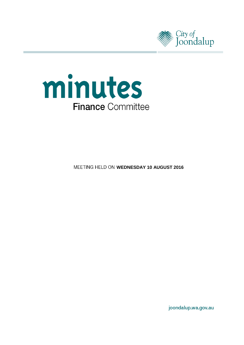



**MEETING HELD ON WEDNESDAY 10 AUGUST 2016** 

joondalup.wa.gov.au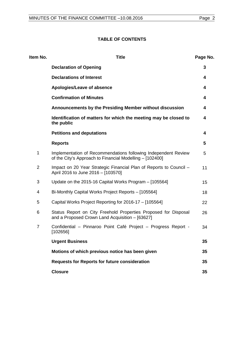# **TABLE OF CONTENTS**

| Item No.       | <b>Title</b>                                                                                                               | Page No. |
|----------------|----------------------------------------------------------------------------------------------------------------------------|----------|
|                | <b>Declaration of Opening</b>                                                                                              | 3        |
|                | <b>Declarations of Interest</b>                                                                                            | 4        |
|                | Apologies/Leave of absence                                                                                                 | 4        |
|                | <b>Confirmation of Minutes</b>                                                                                             | 4        |
|                | Announcements by the Presiding Member without discussion                                                                   | 4        |
|                | Identification of matters for which the meeting may be closed to<br>the public                                             | 4        |
|                | <b>Petitions and deputations</b>                                                                                           | 4        |
|                | <b>Reports</b>                                                                                                             | 5        |
| 1              | Implementation of Recommendations following Independent Review<br>of the City's Approach to Financial Modelling - [102400] | 5        |
| $\overline{2}$ | Impact on 20 Year Strategic Financial Plan of Reports to Council -<br>April 2016 to June 2016 - [103570]                   | 11       |
| 3              | Update on the 2015-16 Capital Works Program - [105564]                                                                     | 15       |
| 4              | Bi-Monthly Capital Works Project Reports - [105564]                                                                        | 18       |
| 5              | Capital Works Project Reporting for 2016-17 - [105564]                                                                     | 22       |
| 6              | Status Report on City Freehold Properties Proposed for Disposal<br>and a Proposed Crown Land Acquisition - [63627]         | 26       |
| $\overline{7}$ | Confidential - Pinnaroo Point Café Project - Progress Report -<br>[102656]                                                 | 34       |
|                | <b>Urgent Business</b>                                                                                                     | 35       |
|                | Motions of which previous notice has been given                                                                            | 35       |
|                | <b>Requests for Reports for future consideration</b>                                                                       | 35       |
|                | <b>Closure</b>                                                                                                             | 35       |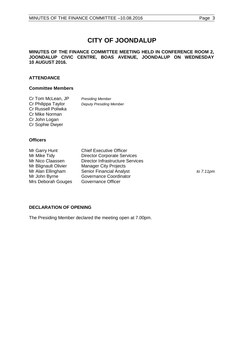# **CITY OF JOONDALUP**

## **MINUTES OF THE FINANCE COMMITTEE MEETING HELD IN CONFERENCE ROOM 2, JOONDALUP CIVIC CENTRE, BOAS AVENUE, JOONDALUP ON WEDNESDAY 10 AUGUST 2016.**

# **ATTENDANCE**

# **Committee Members**

| Cr Tom McLean, JP  | <b>Presiding Member</b>        |
|--------------------|--------------------------------|
| Cr Philippa Taylor | <b>Deputy Presiding Member</b> |
| Cr Russell Poliwka |                                |
| Cr Mike Norman     |                                |
| Cr John Logan      |                                |
| Cr Sophie Dwyer    |                                |

### **Officers**

| Mr Garry Hunt        | <b>Chief Executive Officer</b>          |                     |
|----------------------|-----------------------------------------|---------------------|
| Mr Mike Tidy         | <b>Director Corporate Services</b>      |                     |
| Mr Nico Claassen     | <b>Director Infrastructure Services</b> |                     |
| Mr Blignault Olivier | <b>Manager City Projects</b>            |                     |
| Mr Alan Ellingham    | <b>Senior Financial Analyst</b>         | to $7.11 \text{pm}$ |
| Mr John Byrne        | Governance Coordinator                  |                     |
| Mrs Deborah Gouges   | Governance Officer                      |                     |

# <span id="page-2-0"></span>**DECLARATION OF OPENING**

The Presiding Member declared the meeting open at 7.00pm.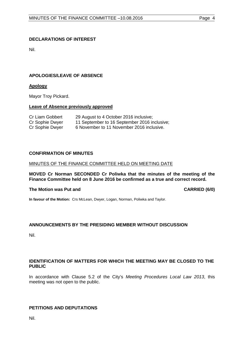# <span id="page-3-0"></span>**DECLARATIONS OF INTEREST**

Nil.

# <span id="page-3-1"></span>**APOLOGIES/LEAVE OF ABSENCE**

# **Apology**

Mayor Troy Pickard.

# **Leave of Absence previously approved**

| Cr Liam Gobbert | 29 August to 4 October 2016 inclusive;       |
|-----------------|----------------------------------------------|
| Cr Sophie Dwyer | 11 September to 16 September 2016 inclusive; |
| Cr Sophie Dwyer | 6 November to 11 November 2016 inclusive.    |

# <span id="page-3-2"></span>**CONFIRMATION OF MINUTES**

### MINUTES OF THE FINANCE COMMITTEE HELD ON MEETING DATE

### **MOVED Cr Norman SECONDED Cr Poliwka that the minutes of the meeting of the Finance Committee held on 8 June 2016 be confirmed as a true and correct record.**

#### **The Motion was Put and CARRIED (6/0)**

**In favour of the Motion:** Crs McLean, Dwyer, Logan, Norman, Poliwka and Taylor.

# <span id="page-3-3"></span>**ANNOUNCEMENTS BY THE PRESIDING MEMBER WITHOUT DISCUSSION**

Nil.

# <span id="page-3-4"></span>**IDENTIFICATION OF MATTERS FOR WHICH THE MEETING MAY BE CLOSED TO THE PUBLIC**

In accordance with Clause 5.2 of the City's *Meeting Procedures Local Law 2013*, this meeting was not open to the public.

# <span id="page-3-5"></span>**PETITIONS AND DEPUTATIONS**

Nil.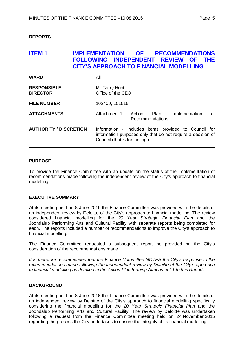# <span id="page-4-0"></span>**REPORTS**

# <span id="page-4-1"></span>**ITEM 1 IMPLEMENTATION OF RECOMMENDATIONS FOLLOWING INDEPENDENT REVIEW OF THE CITY'S APPROACH TO FINANCIAL MODELLING WARD** All

| <b>RESPONSIBLE</b><br><b>DIRECTOR</b> | Mr Garry Hunt<br>Office of the CEO                                                                                                                     |
|---------------------------------------|--------------------------------------------------------------------------------------------------------------------------------------------------------|
| <b>FILE NUMBER</b>                    | 102400, 101515                                                                                                                                         |
| <b>ATTACHMENTS</b>                    | 0f<br>Attachment 1<br>Action<br>Plan:<br>Implementation<br>Recommendations                                                                             |
| <b>AUTHORITY / DISCRETION</b>         | Information - includes items provided to Council for<br>information purposes only that do not require a decision of<br>Council (that is for 'noting'). |

### **PURPOSE**

To provide the Finance Committee with an update on the status of the implementation of recommendations made following the independent review of the City's approach to financial modelling.

# **EXECUTIVE SUMMARY**

At its meeting held on 8 June 2016 the Finance Committee was provided with the details of an independent review by Deloitte of the City's approach to financial modelling. The review considered financial modelling for the *20 Year Strategic Financial Plan* and the Joondalup Performing Arts and Cultural Facility with separate reports being completed for each. The reports included a number of recommendations to improve the City's approach to financial modelling.

The Finance Committee requested a subsequent report be provided on the City's consideration of the recommendations made.

*It is therefore recommended that the Finance Committee NOTES the City's response to the recommendations made following the independent review by Deloitte of the City's approach to financial modelling as detailed in the Action Plan forming Attachment 1 to this Report.*

# **BACKGROUND**

At its meeting held on 8 June 2016 the Finance Committee was provided with the details of an independent review by Deloitte of the City's approach to financial modelling specifically considering the financial modelling for the *20 Year Strategic Financial Plan* and the Joondalup Performing Arts and Cultural Facility. The review by Deloitte was undertaken following a request from the Finance Committee meeting held on 24 November 2015 regarding the process the City undertakes to ensure the integrity of its financial modelling.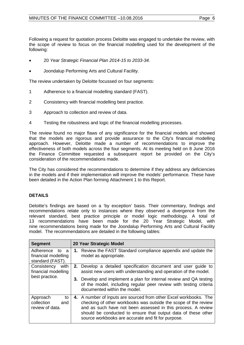Following a request for quotation process Deloitte was engaged to undertake the review, with the scope of review to focus on the financial modelling used for the development of the following:

- 20 *Year Strategic Financial Plan 2014-15 to 2033-34.*
- Joondalup Performing Arts and Cultural Facility.

The review undertaken by Deloitte focussed on four segments:

- 1 Adherence to a financial modelling standard (FAST).
- 2 Consistency with financial modelling best practice.
- 3 Approach to collection and review of data.
- 4 Testing the robustness and logic of the financial modelling processes.

The review found no major flaws of any significance for the financial models and showed that the models are rigorous and provide assurance to the City's financial modelling approach. However, Deloitte made a number of recommendations to improve the effectiveness of both models across the four segments. At its meeting held on 8 June 2016 the Finance Committee requested a subsequent report be provided on the City's consideration of the recommendations made.

The City has considered the recommendations to determine if they address any deficiencies in the models and if their implementation will improve the models' performance. These have been detailed in the Action Plan forming Attachment 1 to this Report.

# **DETAILS**

Deloitte's findings are based on a 'by exception' basis. Their commentary, findings and recommendations relate only to instances where they observed a divergence from the relevant standard, best practice principle or model logic methodology. A total of 13 recommendations have been made for the 20 Year Strategic Model, with nine recommendations being made for the Joondalup Performing Arts and Cultural Facility model. The recommendations are detailed in the following tables:

| <b>Segment</b>                                                   | 20 Year Strategic Model                                                                                                                                                                                                                                                                                                     |
|------------------------------------------------------------------|-----------------------------------------------------------------------------------------------------------------------------------------------------------------------------------------------------------------------------------------------------------------------------------------------------------------------------|
| Adherence<br>to<br>-a<br>financial modelling<br>standard (FAST). | 1. Review the FAST Standard compliance appendix and update the<br>model as appropriate.                                                                                                                                                                                                                                     |
| with<br>Consistency<br>financial modelling                       | <b>2.</b> Develop a detailed specification document and user guide to<br>assist new users with understanding and operation of the model.                                                                                                                                                                                    |
| best practice.                                                   | 3. Develop and implement a plan for internal review and QA testing<br>of the model, including regular peer review with testing criteria<br>documented within the model.                                                                                                                                                     |
| Approach<br>to<br>collection<br>and<br>review of data.           | 4. A number of inputs are sourced from other Excel workbooks. The<br>checking of other workbooks was outside the scope of the review<br>and as such have not been assessed in this process. A review<br>should be conducted to ensure that output data of these other<br>source workbooks are accurate and fit for purpose. |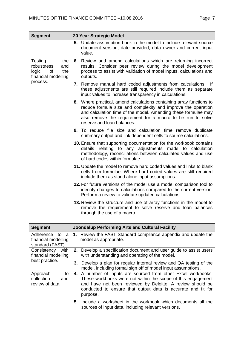| <b>Segment</b>                                                                   | 20 Year Strategic Model                                                                                                                                                                                                                                                                            |
|----------------------------------------------------------------------------------|----------------------------------------------------------------------------------------------------------------------------------------------------------------------------------------------------------------------------------------------------------------------------------------------------|
|                                                                                  | 5. Update assumption book in the model to include relevant source<br>document version, date provided, data owner and current input<br>value.                                                                                                                                                       |
| Testing<br>the<br>robustness<br>and<br>logic<br>of<br>the<br>financial modelling | 6. Review and amend calculations which are returning incorrect<br>results. Consider peer review during the model development<br>process to assist with validation of model inputs, calculations and<br>outputs.                                                                                    |
| process.                                                                         | 7. Remove manual hard coded adjustments from calculations.<br>- If<br>these adjustments are still required include them as separate<br>input values to increase transparency in calculations.                                                                                                      |
|                                                                                  | 8. Where practical, amend calculations containing array functions to<br>reduce formula size and complexity and improve the operation<br>and calculation time of the model. Amending these formulae may<br>also remove the requirement for a macro to be run to solve<br>reserve and loan balances. |
|                                                                                  | 9. To reduce file size and calculation time remove duplicate<br>summary output and link dependent cells to source calculations.                                                                                                                                                                    |
|                                                                                  | 10. Ensure that supporting documentation for the workbook contains<br>details relating to any adjustments made to calculation<br>methodology, reconciliations between calculated values and use<br>of hard codes within formulae.                                                                  |
|                                                                                  | 11. Update the model to remove hard coded values and links to blank<br>cells from formulae. Where hard coded values are still required<br>include them as stand alone input assumptions.                                                                                                           |
|                                                                                  | 12. For future versions of the model use a model comparison tool to<br>identify changes to calculations compared to the current version.<br>Perform a review to validate updated calculations.                                                                                                     |
|                                                                                  | 13. Review the structure and use of array functions in the model to<br>remove the requirement to solve reserve and loan balances<br>through the use of a macro.                                                                                                                                    |

| <b>Segment</b>                                               | <b>Joondalup Performing Arts and Cultural Facility</b>                                                                                                                                                                                                                  |
|--------------------------------------------------------------|-------------------------------------------------------------------------------------------------------------------------------------------------------------------------------------------------------------------------------------------------------------------------|
| Adherence<br>to a<br>financial modelling<br>standard (FAST). | 1. Review the FAST Standard compliance appendix and update the<br>model as appropriate.                                                                                                                                                                                 |
| with<br>Consistency<br>financial modelling<br>best practice. | 2. Develop a specification document and user guide to assist users<br>with understanding and operating of the model.<br>3. Develop a plan for regular internal review and QA testing of the<br>model, including formal sign off of model input assumptions.             |
| Approach<br>to<br>collection<br>and<br>review of data.       | 4. A number of inputs are sourced from other Excel workbooks.<br>These workbooks were not within the scope of this engagement<br>and have not been reviewed by Deloitte. A review should be<br>conducted to ensure that output data is accurate and fit for<br>purpose. |
|                                                              | Include a worksheet in the workbook which documents all the<br>5.<br>sources of input data, including relevant versions.                                                                                                                                                |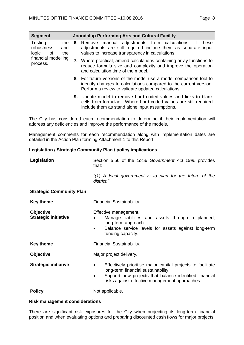| <b>Segment</b>                                                                               | <b>Joondalup Performing Arts and Cultural Facility</b> |                                                                                                                                                                                                                                                                                                                                                                   |  |  |
|----------------------------------------------------------------------------------------------|--------------------------------------------------------|-------------------------------------------------------------------------------------------------------------------------------------------------------------------------------------------------------------------------------------------------------------------------------------------------------------------------------------------------------------------|--|--|
| Testing<br>the<br>robustness<br>and<br>the<br>logic<br>0f<br>financial modelling<br>process. |                                                        | manual adjustments from calculations. If<br>these<br>6. Remove<br>adjustments are still required include them as separate input<br>values to increase transparency in calculations.<br>7. Where practical, amend calculations containing array functions to<br>reduce formula size and complexity and improve the operation<br>and calculation time of the model. |  |  |
|                                                                                              |                                                        | 8. For future versions of the model use a model comparison tool to<br>identify changes to calculations compared to the current version.<br>Perform a review to validate updated calculations.                                                                                                                                                                     |  |  |
|                                                                                              |                                                        | <b>9.</b> Update model to remove hard coded values and links to blank<br>cells from formulae. Where hard coded values are still required<br>include them as stand alone input assumptions.                                                                                                                                                                        |  |  |

The City has considered each recommendation to determine if their implementation will address any deficiencies and improve the performance of the models.

Management comments for each recommendation along with implementation dates are detailed in the Action Plan forming Attachment 1 to this Report.

# **Legislation / Strategic Community Plan / policy implications**

| Legislation                              | Section 5.56 of the Local Government Act 1995 provides<br>that:                                                                                                                                                                  |  |  |
|------------------------------------------|----------------------------------------------------------------------------------------------------------------------------------------------------------------------------------------------------------------------------------|--|--|
|                                          | "(1) A local government is to plan for the future of the<br>district."                                                                                                                                                           |  |  |
| <b>Strategic Community Plan</b>          |                                                                                                                                                                                                                                  |  |  |
| <b>Key theme</b>                         | Financial Sustainability.                                                                                                                                                                                                        |  |  |
| Objective<br><b>Strategic initiative</b> | Effective management.<br>Manage liabilities and assets through a planned,<br>long-term approach.<br>Balance service levels for assets against long-term<br>funding capacity.                                                     |  |  |
| <b>Key theme</b>                         | Financial Sustainability.                                                                                                                                                                                                        |  |  |
| Objective                                | Major project delivery.                                                                                                                                                                                                          |  |  |
| <b>Strategic initiative</b>              | Effectively prioritise major capital projects to facilitate<br>$\bullet$<br>long-term financial sustainability.<br>Support new projects that balance identified financial<br>٠<br>risks against effective management approaches. |  |  |
| <b>Policy</b>                            | Not applicable.                                                                                                                                                                                                                  |  |  |

#### **Risk management considerations**

There are significant risk exposures for the City when projecting its long-term financial position and when evaluating options and preparing discounted cash flows for major projects.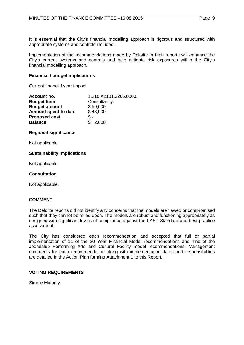It is essential that the City's financial modelling approach is rigorous and structured with appropriate systems and controls included.

Implementation of the recommendations made by Deloitte in their reports will enhance the City's current systems and controls and help mitigate risk exposures within the City's financial modelling approach.

# **Financial / budget implications**

### Current financial year impact

| Account no.          | 1.210.A2101.3265.0000. |
|----------------------|------------------------|
| <b>Budget Item</b>   | Consultancy.           |
| <b>Budget amount</b> | \$50,000               |
| Amount spent to date | \$48,000               |
| <b>Proposed cost</b> | \$-                    |
| <b>Balance</b>       | \$2,000                |

# **Regional significance**

Not applicable.

# **Sustainability implications**

Not applicable.

# **Consultation**

Not applicable.

# **COMMENT**

The Deloitte reports did not identify any concerns that the models are flawed or compromised such that they cannot be relied upon. The models are robust and functioning appropriately as designed with significant levels of compliance against the FAST Standard and best practice assessment.

The City has considered each recommendation and accepted that full or partial implementation of 11 of the 20 Year Financial Model recommendations and nine of the Joondalup Performing Arts and Cultural Facility model recommendations. Management comments for each recommendation along with implementation dates and responsibilities are detailed in the Action Plan forming Attachment 1 to this Report.

# **VOTING REQUIREMENTS**

Simple Majority.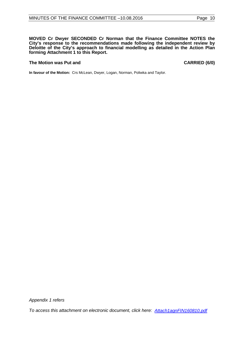**MOVED Cr Dwyer SECONDED Cr Norman that the Finance Committee NOTES the City's response to the recommendations made following the independent review by Deloitte of the City's approach to financial modelling as detailed in the Action Plan forming Attachment 1 to this Report.**

#### **The Motion was Put and CARRIED (6/0)**

**In favour of the Motion:** Crs McLean, Dwyer, Logan, Norman, Poliwka and Taylor.

*Appendix 1 refers*

*[To access this attachment on electronic document, click here: Attach1agnFIN160810.pdf](http://www.joondalup.wa.gov.au/files/committees/FINC/2016/Attach1agnFIN160810.pdf)*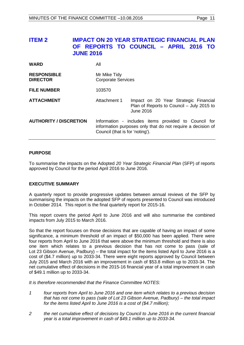# <span id="page-10-0"></span>**ITEM 2 IMPACT ON 20 YEAR STRATEGIC FINANCIAL PLAN OF REPORTS TO COUNCIL – APRIL 2016 TO JUNE 2016**

| <b>WARD</b>                           | All                                                                                                                                                    |                                                                                                 |
|---------------------------------------|--------------------------------------------------------------------------------------------------------------------------------------------------------|-------------------------------------------------------------------------------------------------|
| <b>RESPONSIBLE</b><br><b>DIRECTOR</b> | Mr Mike Tidy<br><b>Corporate Services</b>                                                                                                              |                                                                                                 |
| <b>FILE NUMBER</b>                    | 103570                                                                                                                                                 |                                                                                                 |
| <b>ATTACHMENT</b>                     | Attachment 1                                                                                                                                           | Impact on 20 Year Strategic Financial<br>Plan of Reports to Council – July 2015 to<br>June 2016 |
| <b>AUTHORITY / DISCRETION</b>         | Information - includes items provided to Council for<br>information purposes only that do not require a decision of<br>Council (that is for 'noting'). |                                                                                                 |

# **PURPOSE**

To summarise the impacts on the Adopted *20 Year Strategic Financial Plan* (SFP) of reports approved by Council for the period April 2016 to June 2016.

# **EXECUTIVE SUMMARY**

A quarterly report to provide progressive updates between annual reviews of the SFP by summarising the impacts on the adopted SFP of reports presented to Council was introduced in October 2014. This report is the final quarterly report for 2015-16.

This report covers the period April to June 2016 and will also summarise the combined impacts from July 2015 to March 2016.

So that the report focuses on those decisions that are capable of having an impact of some significance, a minimum threshold of an impact of \$50,000 has been applied. There were four reports from April to June 2016 that were above the minimum threshold and there is also one item which relates to a previous decision that has not come to pass (sale of Lot 23 Gibson Avenue, Padbury) – the total impact for the items listed April to June 2016 is a cost of (\$4.7 million) up to 2033-34. There were eight reports approved by Council between July 2015 and March 2016 with an improvement in cash of \$53.8 million up to 2033-34. The net cumulative effect of decisions in the 2015-16 financial year of a total improvement in cash of \$49.1 million up to 2033-34.

*It is therefore recommended that the Finance Committee NOTES:*

- *1 four reports from April to June 2016 and one item which relates to a previous decision that has not come to pass (sale of Lot 23 Gibson Avenue, Padbury) – the total impact for the items listed April to June 2016 is a cost of (\$4.7 million);*
- *2 the net cumulative effect of decisions by Council to June 2016 in the current financial year is a total improvement in cash of \$49.1 million up to 2033-34.*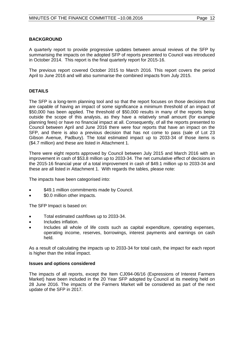A quarterly report to provide progressive updates between annual reviews of the SFP by summarising the impacts on the adopted SFP of reports presented to Council was introduced in October 2014. This report is the final quarterly report for 2015-16.

The previous report covered October 2015 to March 2016. This report covers the period April to June 2016 and will also summarise the combined impacts from July 2015.

# **DETAILS**

The SFP is a long-term planning tool and so that the report focuses on those decisions that are capable of having an impact of some significance a minimum threshold of an impact of \$50,000 has been applied. The threshold of \$50,000 results in many of the reports being outside the scope of this analysis, as they have a relatively small amount (for example planning fees) or have no financial impact at all. Consequently, of all the reports presented to Council between April and June 2016 there were four reports that have an impact on the SFP, and there is also a previous decision that has not come to pass (sale of Lot 23 Gibson Avenue, Padbury). The total estimated impact up to 2033-34 of those items is (\$4.7 million) and these are listed in Attachment 1.

There were eight reports approved by Council between July 2015 and March 2016 with an improvement in cash of \$53.8 million up to 2033-34. The net cumulative effect of decisions in the 2015-16 financial year of a total improvement in cash of \$49.1 million up to 2033-34 and these are all listed in Attachment 1. With regards the tables, please note:

The impacts have been categorised into:

- \$49.1 million commitments made by Council.
- \$0.0 million other impacts.

The SFP Impact is based on:

- Total estimated cashflows up to 2033-34.
- Includes inflation.
- Includes all whole of life costs such as capital expenditure, operating expenses, operating income, reserves, borrowings, interest payments and earnings on cash held.

As a result of calculating the impacts up to 2033-34 for total cash, the impact for each report is higher than the initial impact.

# **Issues and options considered**

The impacts of all reports, except the Item CJ094-06/16 (Expressions of Interest Farmers Market) have been included in the 20 Year SFP adopted by Council at its meeting held on 28 June 2016. The impacts of the Farmers Market will be considered as part of the next update of the SFP in 2017.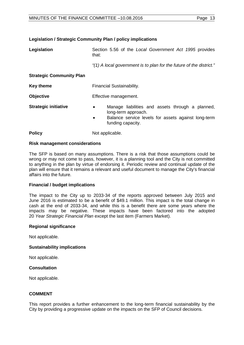**Legislation / Strategic Community Plan / policy implications**

| Paɑe | ິ |
|------|---|
|------|---|

| Legislation                     | Section 5.56 of the Local Government Act 1995 provides<br>that:                                                                                                  |  |
|---------------------------------|------------------------------------------------------------------------------------------------------------------------------------------------------------------|--|
|                                 | "(1) A local government is to plan for the future of the district."                                                                                              |  |
| <b>Strategic Community Plan</b> |                                                                                                                                                                  |  |
| <b>Key theme</b>                | Financial Sustainability.                                                                                                                                        |  |
| <b>Objective</b>                | Effective management.                                                                                                                                            |  |
| <b>Strategic initiative</b>     | Manage liabilities and assets through a planned,<br>$\bullet$<br>long-term approach.<br>Balance service levels for assets against long-term<br>funding capacity. |  |
| <b>Policy</b>                   | Not applicable.                                                                                                                                                  |  |

### **Risk management considerations**

The SFP is based on many assumptions. There is a risk that those assumptions could be wrong or may not come to pass, however, it is a planning tool and the City is not committed to anything in the plan by virtue of endorsing it. Periodic review and continual update of the plan will ensure that it remains a relevant and useful document to manage the City's financial affairs into the future.

# **Financial / budget implications**

The impact to the City up to 2033-34 of the reports approved between July 2015 and June 2016 is estimated to be a benefit of \$49.1 million. This impact is the total change in cash at the end of 2033-34, and while this is a benefit there are some years where the impacts may be negative. These impacts have been factored into the adopted 20 *Year Strategic Financial Plan* except the last item (Farmers Market).

#### **Regional significance**

Not applicable.

# **Sustainability implications**

Not applicable.

# **Consultation**

Not applicable.

# **COMMENT**

This report provides a further enhancement to the long-term financial sustainability by the City by providing a progressive update on the impacts on the SFP of Council decisions.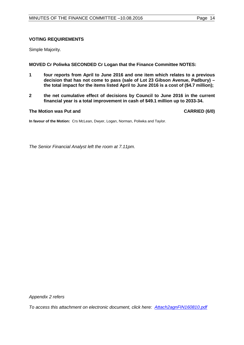# **VOTING REQUIREMENTS**

Simple Majority.

# **MOVED Cr Poliwka SECONDED Cr Logan that the Finance Committee NOTES:**

- **1 four reports from April to June 2016 and one item which relates to a previous decision that has not come to pass (sale of Lot 23 Gibson Avenue, Padbury) – the total impact for the items listed April to June 2016 is a cost of (\$4.7 million);**
- **2 the net cumulative effect of decisions by Council to June 2016 in the current financial year is a total improvement in cash of \$49.1 million up to 2033-34.**

# **The Motion was Put and CARRIED (6/0)**

**In favour of the Motion:** Crs McLean, Dwyer, Logan, Norman, Poliwka and Taylor.

*The Senior Financial Analyst left the room at 7.11pm.*

*Appendix 2 refers*

*[To access this attachment on electronic document, click here: Attach2agnFIN160810.pdf](http://www.joondalup.wa.gov.au/files/committees/FINC/2016/Attach2agnFIN160810.pdf)*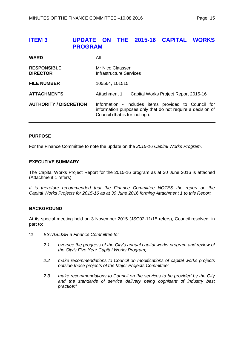# <span id="page-14-0"></span>**ITEM 3 UPDATE ON THE 2015-16 CAPITAL WORKS PROGRAM**

| <b>WARD</b>                           | All                                                                                                                                                    |  |
|---------------------------------------|--------------------------------------------------------------------------------------------------------------------------------------------------------|--|
| <b>RESPONSIBLE</b><br><b>DIRECTOR</b> | Mr Nico Claassen<br>Infrastructure Services                                                                                                            |  |
| <b>FILE NUMBER</b>                    | 105564, 101515                                                                                                                                         |  |
| <b>ATTACHMENTS</b>                    | Attachment 1<br>Capital Works Project Report 2015-16                                                                                                   |  |
| <b>AUTHORITY / DISCRETION</b>         | Information - includes items provided to Council for<br>information purposes only that do not require a decision of<br>Council (that is for 'noting'). |  |

# **PURPOSE**

For the Finance Committee to note the update on the *2015-16 Capital Works Program*.

# **EXECUTIVE SUMMARY**

The Capital Works Project Report for the 2015-16 program as at 30 June 2016 is attached (Attachment 1 refers).

*It is therefore recommended that the Finance Committee NOTES the report on the Capital Works Projects for 2015-16 as at 30 June 2016 forming Attachment 1 to this Report.*

# **BACKGROUND**

At its special meeting held on 3 November 2015 (JSC02-11/15 refers), Council resolved, in part to:

- "*2 ESTABLISH a Finance Committee to:*
	- *2.1 oversee the progress of the City's annual capital works program and review of the City's Five Year Capital Works Program;*
	- *2.2 make recommendations to Council on modifications of capital works projects outside those projects of the Major Projects Committee;*
	- *2.3 make recommendations to Council on the services to be provided by the City and the standards of service delivery being cognisant of industry best practice;"*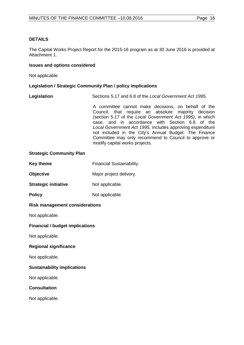# **DETAILS**

The Capital Works Project Report for the 2015-16 program as at 30 June 2016 is provided at Attachment 1.

## **Issues and options considered**

Not applicable.

# **Legislation / Strategic Community Plan / policy implications**

**Legislation** Sections 5.17 and 6.8 of the *Local Government Act 1995.*

A committee cannot make decisions, on behalf of the Council, that require an absolute majority decision (section 5.17 of the *Local Government Act 1995)*, in which case, and in accordance with Section 6.8 of the *Local Government Act 1995,* includes approving expenditure not included in the City's Annual Budget. The Finance Committee may only recommend to Council to approve or modify capital works projects.

### **Strategic Community Plan**

| Key theme | Financial Sustainability. |
|-----------|---------------------------|
|-----------|---------------------------|

**Objective** Major project delivery.

**Strategic initiative** Not applicable.

**Policy** Not applicable.

# **Risk management considerations**

Not applicable.

# **Financial / budget implications**

Not applicable.

# **Regional significance**

Not applicable.

# **Sustainability implications**

Not applicable.

# **Consultation**

Not applicable.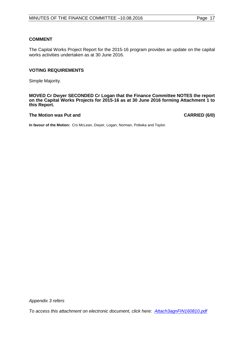# **COMMENT**

The Capital Works Project Report for the 2015-16 program provides an update on the capital works activities undertaken as at 30 June 2016.

## **VOTING REQUIREMENTS**

Simple Majority.

**MOVED Cr Dwyer SECONDED Cr Logan that the Finance Committee NOTES the report on the Capital Works Projects for 2015-16 as at 30 June 2016 forming Attachment 1 to this Report.**

#### **The Motion was Put and CARRIED (6/0)**

**In favour of the Motion:** Crs McLean, Dwyer, Logan, Norman, Poliwka and Taylor.

*Appendix 3 refers*

*[To access this attachment on electronic document, click here: Attach3agnFIN160810.pdf](http://www.joondalup.wa.gov.au/files/committees/FINC/2016/Attach3agnFIN160810.pdf)*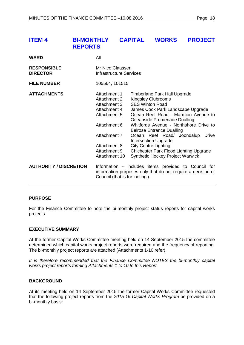<span id="page-17-0"></span>

| <b>ITEM 4</b>                         | <b>BI-MONTHLY</b><br><b>REPORTS</b> |                                                                                                                                                               | <b>CAPITAL</b>                  | <b>WORKS</b>                                                                                                                                                                                                                                                                                                                        | <b>PROJECT</b>                                                                                                                          |
|---------------------------------------|-------------------------------------|---------------------------------------------------------------------------------------------------------------------------------------------------------------|---------------------------------|-------------------------------------------------------------------------------------------------------------------------------------------------------------------------------------------------------------------------------------------------------------------------------------------------------------------------------------|-----------------------------------------------------------------------------------------------------------------------------------------|
| <b>WARD</b>                           | All                                 |                                                                                                                                                               |                                 |                                                                                                                                                                                                                                                                                                                                     |                                                                                                                                         |
| <b>RESPONSIBLE</b><br><b>DIRECTOR</b> |                                     | Mr Nico Claassen<br><b>Infrastructure Services</b>                                                                                                            |                                 |                                                                                                                                                                                                                                                                                                                                     |                                                                                                                                         |
| <b>FILE NUMBER</b>                    |                                     | 105564, 101515                                                                                                                                                |                                 |                                                                                                                                                                                                                                                                                                                                     |                                                                                                                                         |
| <b>ATTACHMENTS</b>                    |                                     | Attachment 1<br>Attachment 2<br>Attachment 3<br>Attachment 4<br>Attachment 5<br>Attachment 6<br>Attachment 7<br>Attachment 8<br>Attachment 9<br>Attachment 10 |                                 | Timberlane Park Hall Upgrade<br><b>Kingsley Clubrooms</b><br><b>SES Winton Road</b><br>James Cook Park Landscape Upgrade<br>Oceanside Promenade Dualling<br><b>Belrose Entrance Dualling</b><br>Ocean Reef Road/ Joondalup<br><b>Intersection Upgrade</b><br><b>City Centre Lighting</b><br><b>Synthetic Hockey Project Warwick</b> | Ocean Reef Road - Marmion Avenue to<br>Whitfords Avenue - Northshore Drive to<br>Drive<br><b>Chichester Park Flood Lighting Upgrade</b> |
| <b>AUTHORITY / DISCRETION</b>         |                                     |                                                                                                                                                               | Council (that is for 'noting'). |                                                                                                                                                                                                                                                                                                                                     | Information - includes items provided to Council for<br>information purposes only that do not require a decision of                     |

# **PURPOSE**

For the Finance Committee to note the bi-monthly project status reports for capital works projects.

#### **EXECUTIVE SUMMARY**

At the former Capital Works Committee meeting held on 14 September 2015 the committee determined which capital works project reports were required and the frequency of reporting. The bi-monthly project reports are attached (Attachments 1-10 refer).

*It is therefore recommended that the Finance Committee NOTES the bi-monthly capital works project reports forming Attachments 1 to 10 to this Report.*

### **BACKGROUND**

At its meeting held on 14 September 2015 the former Capital Works Committee requested that the following project reports from the *2015-16 Capital Works Program* be provided on a bi-monthly basis: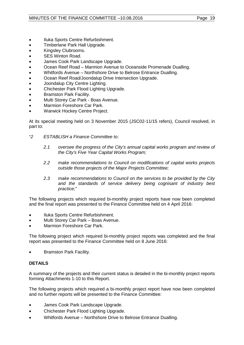- Iluka Sports Centre Refurbishment.
- Timberlane Park Hall Upgrade.
- Kingsley Clubrooms.
- SES Winton Road.
- James Cook Park Landscape Upgrade.
- Ocean Reef Road Marmion Avenue to Oceanside Promenade Dualling.
- Whitfords Avenue Northshore Drive to Belrose Entrance Dualling.
- Ocean Reef Road/Joondalup Drive Intersection Upgrade.
- Joondalup City Centre Lighting.
- Chichester Park Flood Lighting Upgrade.
- Bramston Park Facility.
- Multi Storey Car Park Boas Avenue.
- Marmion Foreshore Car Park.
- Warwick Hockey Centre Project.

At its special meeting held on 3 November 2015 (JSC02-11/15 refers), Council resolved, in part to:

- "*2 ESTABLISH a Finance Committee to:*
	- *2.1 oversee the progress of the City's annual capital works program and review of the City's Five Year Capital Works Program;*
	- *2.2 make recommendations to Council on modifications of capital works projects outside those projects of the Major Projects Committee;*
	- *2.3 make recommendations to Council on the services to be provided by the City and the standards of service delivery being cognisant of industry best practice;"*

The following projects which required bi-monthly project reports have now been completed and the final report was presented to the Finance Committee held on 4 April 2016:

- Iluka Sports Centre Refurbishment.
- Multi Storey Car Park Boas Avenue.
- Marmion Foreshore Car Park.

The following project which required bi-monthly project reports was completed and the final report was presented to the Finance Committee held on 8 June 2016:

• Bramston Park Facility.

# **DETAILS**

A summary of the projects and their current status is detailed in the bi-monthly project reports forming Attachments 1-10 to this Report.

The following projects which required a bi-monthly project report have now been completed and no further reports will be presented to the Finance Committee:

- James Cook Park Landscape Upgrade.
- Chichester Park Flood Lighting Upgrade.
- Whitfords Avenue Northshore Drive to Belrose Entrance Dualling.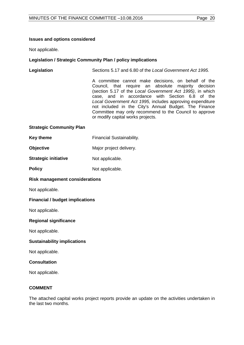# **Issues and options considered**

Not applicable.

# **Legislation / Strategic Community Plan / policy implications**

**Legislation** Sections 5.17 and 6.80 of the *Local Government Act 1995.*

A committee cannot make decisions, on behalf of the Council, that require an absolute majority decision (section 5.17 of the *Local Government Act 1995)*, in which case, and in accordance with Section 6.8 of the *Local Government Act 1995,* includes approving expenditure not included in the City's Annual Budget. The Finance Committee may only recommend to the Council to approve or modify capital works projects.

# **Strategic Community Plan**

- **Key theme** Financial Sustainability.
- **Objective** Major project delivery.
- **Strategic initiative** Not applicable.
- **Policy** Not applicable.

# **Risk management considerations**

Not applicable.

# **Financial / budget implications**

Not applicable.

# **Regional significance**

Not applicable.

# **Sustainability implications**

Not applicable.

# **Consultation**

Not applicable.

# **COMMENT**

The attached capital works project reports provide an update on the activities undertaken in the last two months.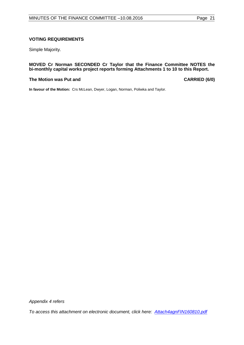# **VOTING REQUIREMENTS**

Simple Majority.

# **MOVED Cr Norman SECONDED Cr Taylor that the Finance Committee NOTES the bi-monthly capital works project reports forming Attachments 1 to 10 to this Report.**

#### **The Motion was Put and CARRIED (6/0)**

**In favour of the Motion:** Crs McLean, Dwyer, Logan, Norman, Poliwka and Taylor.

*Appendix 4 refers*

*[To access this attachment on electronic document, click here: Attach4agnFIN160810.pdf](http://www.joondalup.wa.gov.au/files/committees/FINC/2016/Attach4agnFIN160810.pdf)*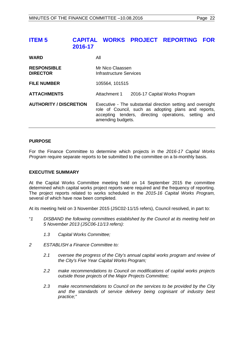# <span id="page-21-0"></span>**ITEM 5 CAPITAL WORKS PROJECT REPORTING FOR 2016-17**

| <b>WARD</b>                           | All                                                                                                                                                                                              |  |
|---------------------------------------|--------------------------------------------------------------------------------------------------------------------------------------------------------------------------------------------------|--|
| <b>RESPONSIBLE</b><br><b>DIRECTOR</b> | Mr Nico Claassen<br><b>Infrastructure Services</b>                                                                                                                                               |  |
| <b>FILE NUMBER</b>                    | 105564, 101515                                                                                                                                                                                   |  |
| <b>ATTACHMENTS</b>                    | Attachment 1<br>2016-17 Capital Works Program                                                                                                                                                    |  |
| <b>AUTHORITY / DISCRETION</b>         | Executive - The substantial direction setting and oversight<br>role of Council, such as adopting plans and reports,<br>accepting tenders, directing operations, setting and<br>amending budgets. |  |

# **PURPOSE**

For the Finance Committee to determine which projects in the *2016-17 Capital Works Program* require separate reports to be submitted to the committee on a bi-monthly basis.

# **EXECUTIVE SUMMARY**

At the Capital Works Committee meeting held on 14 September 2015 the committee determined which capital works project reports were required and the frequency of reporting. The project reports related to works scheduled in the *2015-16 Capital Works Program,* several of which have now been completed.

At its meeting held on 3 November 2015 (JSC02-11/15 refers), Council resolved, in part to:

- "*1 DISBAND the following committees established by the Council at its meeting held on 5 November 2013 (JSC06-11/13 refers):*
	- *1.3 Capital Works Committee;*
- *2 ESTABLISH a Finance Committee to:*
	- *2.1 oversee the progress of the City's annual capital works program and review of the City's Five Year Capital Works Program;*
	- *2.2 make recommendations to Council on modifications of capital works projects outside those projects of the Major Projects Committee;*
	- *2.3 make recommendations to Council on the services to be provided by the City and the standards of service delivery being cognisant of industry best practice;"*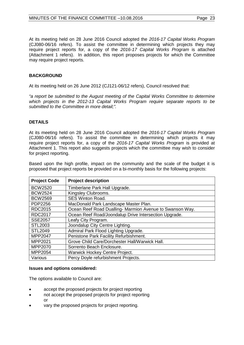At its meeting held on 28 June 2016 Council adopted the *2016-17 Capital Works Program* (CJ080-06/16 refers). To assist the committee in determining which projects they may require project reports for, a copy of the *2016-17 Capital Works Program* is attached (Attachment 1 refers). In addition, this report proposes projects for which the Committee may require project reports.

# **BACKGROUND**

At its meeting held on 26 June 2012 (CJ121-06/12 refers), Council resolved that:

*"a report be submitted to the August meeting of the Capital Works Committee to determine which projects in the 2012-13 Capital Works Program require separate reports to be submitted to the Committee in more detail;".*

# **DETAILS**

At its meeting held on 28 June 2016 Council adopted the *2016-17 Capital Works Program* (CJ080-06/16 refers). To assist the committee in determining which projects it may require project reports for, a copy of the *2016-17 Capital Works Program* is provided at Attachment 1. This report also suggests projects which the committee may wish to consider for project reporting.

Based upon the high profile, impact on the community and the scale of the budget it is proposed that project reports be provided on a bi-monthly basis for the following projects:

| <b>Project Code</b> | <b>Project description</b>                               |
|---------------------|----------------------------------------------------------|
| <b>BCW2520</b>      | Timberlane Park Hall Upgrade.                            |
| <b>BCW2524</b>      | Kingsley Clubrooms.                                      |
| <b>BCW2569</b>      | <b>SES Winton Road.</b>                                  |
| PDP2256             | MacDonald Park Landscape Master Plan.                    |
| <b>RDC2015</b>      | Ocean Reef Road Dualling- Marmion Avenue to Swanson Way. |
| <b>RDC2017</b>      | Ocean Reef Road/Joondalup Drive Intersection Upgrade.    |
| <b>SSE2057</b>      | Leafy City Program.                                      |
| STL2003             | Joondalup City Centre Lighting.                          |
| <b>STL2049</b>      | Admiral Park Flood Lighting Upgrade.                     |
| <b>MPP2047</b>      | Penistone Park Facility Refurbishment.                   |
| MPP2021             | Grove Child Care/Dorchester Hall/Warwick Hall.           |
| MPP2070             | Sorrento Beach Enclosure.                                |
| MPP2054             | <b>Warwick Hockey Centre Project.</b>                    |
| Various             | Percy Doyle refurbishment Projects.                      |

#### **Issues and options considered:**

The options available to Council are:

- accept the proposed projects for project reporting
- not accept the proposed projects for project reporting or
- vary the proposed projects for project reporting.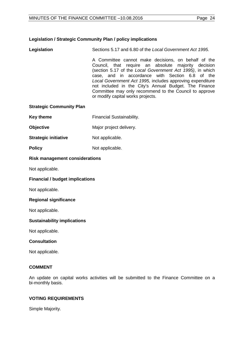# **Legislation / Strategic Community Plan / policy implications**

**Legislation** Sections 5.17 and 6.80 of the *Local Government Act 1995.*

A Committee cannot make decisions, on behalf of the Council, that require an absolute majority decision (section 5.17 of the *Local Government Act 1995)*, in which case, and in accordance with Section 6.8 of the *Local Government Act 1995,* includes approving expenditure not included in the City's Annual Budget. The Finance Committee may only recommend to the Council to approve or modify capital works projects.

# **Strategic Community Plan**

- **Key theme** Financial Sustainability.
- **Objective** Major project delivery.
- **Strategic initiative** Not applicable.
- **Policy** Not applicable.

# **Risk management considerations**

Not applicable.

# **Financial / budget implications**

Not applicable.

# **Regional significance**

Not applicable.

# **Sustainability implications**

Not applicable.

# **Consultation**

Not applicable.

# **COMMENT**

An update on capital works activities will be submitted to the Finance Committee on a bi-monthly basis.

# **VOTING REQUIREMENTS**

Simple Majority.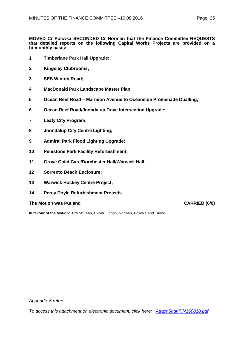**MOVED Cr Poliwka SECONDED Cr Norman that the Finance Committee REQUESTS that detailed reports on the following Capital Works Projects are provided on a bi-monthly basis:**

- **1 Timberlane Park Hall Upgrade;**
- **2 Kingsley Clubrooms;**
- **3 SES Winton Road;**
- **4 MacDonald Park Landscape Master Plan;**
- **5 Ocean Reef Road Marmion Avenue to Oceanside Promenade Dualling;**
- **6 Ocean Reef Road/Joondalup Drive Intersection Upgrade;**
- **7 Leafy City Program;**
- **8 Joondalup City Centre Lighting;**
- **9 Admiral Park Flood Lighting Upgrade;**
- **10 Penistone Park Facility Refurbishment;**
- **11 Grove Child Care/Dorchester Hall/Warwick Hall;**
- **12 Sorrento Beach Enclosure;**
- **13 Warwick Hockey Centre Project;**
- **14 Percy Doyle Refurbishment Projects.**

# **The Motion was Put and CARRIED (6/0)**

**In favour of the Motion:** Crs McLean, Dwyer, Logan, Norman, Poliwka and Taylor.

*Appendix 5 refers*

*[To access this attachment on electronic document, click here: Attach5agnFIN160810.pdf](http://www.joondalup.wa.gov.au/files/committees/FINC/2016/Attach5agnFIN160810.pdf)*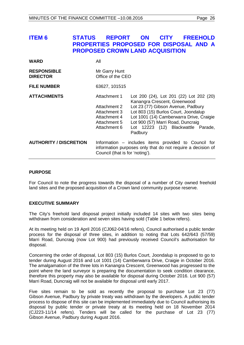# <span id="page-25-0"></span>**ITEM 6 STATUS REPORT ON CITY FREEHOLD PROPERTIES PROPOSED FOR DISPOSAL AND A PROPOSED CROWN LAND ACQUISITION**

| WARD                                  | All                                                                                          |                                                                                                                                                                                                                                                                                         |
|---------------------------------------|----------------------------------------------------------------------------------------------|-----------------------------------------------------------------------------------------------------------------------------------------------------------------------------------------------------------------------------------------------------------------------------------------|
| <b>RESPONSIBLE</b><br><b>DIRECTOR</b> | Mr Garry Hunt<br>Office of the CEO                                                           |                                                                                                                                                                                                                                                                                         |
| <b>FILE NUMBER</b>                    | 63627, 101515                                                                                |                                                                                                                                                                                                                                                                                         |
| <b>ATTACHMENTS</b>                    | Attachment 1<br>Attachment 2<br>Attachment 3<br>Attachment 4<br>Attachment 5<br>Attachment 6 | Lot 200 (24), Lot 201 (22) Lot 202 (20)<br>Kanangra Crescent, Greenwood<br>Lot 23 (77) Gibson Avenue, Padbury<br>Lot 803 (15) Burlos Court, Joondalup<br>Lot 1001 (14) Camberwarra Drive, Craigie<br>Lot 900 (57) Marri Road, Duncraig<br>Lot 12223 (12) Blackwattle Parade,<br>Padbury |
| <b>AUTHORITY / DISCRETION</b>         | Council (that is for 'noting').                                                              | Information – includes items provided to Council for<br>information purposes only that do not require a decision of                                                                                                                                                                     |

# **PURPOSE**

For Council to note the progress towards the disposal of a number of City owned freehold land sites and the proposed acquisition of a Crown land community purpose reserve.

# **EXECUTIVE SUMMARY**

The City's freehold land disposal project initially included 14 sites with two sites being withdrawn from consideration and seven sites having sold (Table 1 below refers).

At its meeting held on 19 April 2016 (CJ062-04/16 refers), Council authorised a public tender process for the disposal of three sites, in addition to noting that Lots 642/643 (57/59) Marri Road, Duncraig (now Lot 900) had previously received Council's authorisation for disposal.

Concerning the order of disposal, Lot 803 (15) Burlos Court, Joondalup is proposed to go to tender during August 2016 and Lot 1001 (14) Camberwarra Drive, Craigie in October 2016. The amalgamation of the three lots in Kanangra Crescent, Greenwood has progressed to the point where the land surveyor is preparing the documentation to seek condition clearance, therefore this property may also be available for disposal during October 2016. Lot 900 (57) Marri Road, Duncraig will not be available for disposal until early 2017.

Five sites remain to be sold as recently the proposal to purchase Lot 23 (77) Gibson Avenue, Padbury by private treaty was withdrawn by the developers. A public tender process to dispose of this site can be implemented immediately due to Council authorising its disposal by public tender or private treaty at its meeting held on 18 November 2014 (CJ223-11/14 refers). Tenders will be called for the purchase of Lot 23 (77) Gibson Avenue, Padbury during August 2016.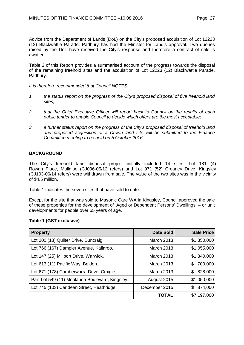Advice from the Department of Lands (DoL) on the City's proposed acquisition of Lot 12223 (12) Blackwattle Parade, Padbury has had the Minister for Land's approval. Two queries raised by the DoL have received the City's response and therefore a contract of sale is awaited.

Table 2 of this Report provides a summarised account of the progress towards the disposal of the remaining freehold sites and the acquisition of Lot 12223 (12) Blackwattle Parade, Padbury.

*It is therefore recommended that Council NOTES:* 

- *1 the status report on the progress of the City's proposed disposal of five freehold land sites;*
- *2 that the Chief Executive Officer will report back to Council on the results of each public tender to enable Council to decide which offers are the most acceptable;*
- *3 a further status report on the progress of the City's proposed disposal of freehold land and proposed acquisition of a Crown land site will be submitted to the Finance Committee meeting to be held on 5 October 2016.*

# **BACKGROUND**

The City's freehold land disposal project initially included 14 sites. Lot 181 (4) Rowan Place, Mullaloo (CJ096-05/12 refers) and Lot 971 (52) Creaney Drive, Kingsley (CJ103-06/14 refers) were withdrawn from sale. The value of the two sites was in the vicinity of \$4.5 million.

Table 1 indicates the seven sites that have sold to date.

Except for the site that was sold to Masonic Care WA in Kingsley, Council approved the sale of these properties for the development of 'Aged or Dependent Persons' Dwellings' – or unit developments for people over 55 years of age.

# **Table 1 (GST exclusive)**

| <b>Property</b>                                 | Date Sold     | <b>Sale Price</b> |
|-------------------------------------------------|---------------|-------------------|
| Lot 200 (18) Quilter Drive, Duncraig.           | March 2013    | \$1,350,000       |
| Lot 766 (167) Dampier Avenue, Kallaroo.         | March 2013    | \$1,055,000       |
| Lot 147 (25) Millport Drive, Warwick.           | March 2013    | \$1,340,000       |
| Lot 613 (11) Pacific Way, Beldon.               | March 2013    | 700,000<br>S      |
| Lot 671 (178) Camberwarra Drive, Craigie.       | March 2013    | 828,000<br>S      |
| Part Lot 549 (11) Moolanda Boulevard, Kingsley. | August 2015   | \$1,050,000       |
| Lot 745 (103) Caridean Street, Heathridge.      | December 2015 | 874,000<br>\$     |
|                                                 | TOTAL         | \$7,197,000       |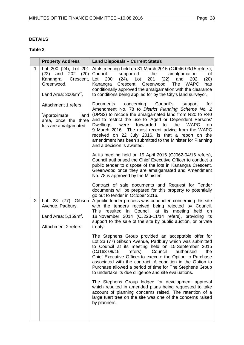# **DETAILS**

# **Table 2**

|                | <b>Property Address</b>                                                                      | <b>Land Disposals - Current Status</b>                                                                                                                                                                                                                                                                                                                                                                                                                                                                  |
|----------------|----------------------------------------------------------------------------------------------|---------------------------------------------------------------------------------------------------------------------------------------------------------------------------------------------------------------------------------------------------------------------------------------------------------------------------------------------------------------------------------------------------------------------------------------------------------------------------------------------------------|
| $\mathbf{1}$   | Lot 200 (24), Lot 201<br>and<br>$202$ $(20)$<br>(22)<br>Kanangra<br>Crescent,<br>Greenwood.  | At its meeting held on 31 March 2015 (CJ046-03/15 refers),<br>Council<br>supported<br>the<br>amalgamation<br>of<br>$(24)$ , Lot<br>(22)<br>Lot<br>200<br>201<br>202<br>(20)<br>and<br>Crescent, Greenwood. The<br><b>WAPC</b><br>Kanangra<br>has<br>conditionally approved the amalgamation with the clearance                                                                                                                                                                                          |
|                | Land Area: $3005m^{2^*}$ .                                                                   | to conditions being applied for by the City's land surveyor.                                                                                                                                                                                                                                                                                                                                                                                                                                            |
|                | Attachment 1 refers.<br>Approximate<br>land<br>area, once the three<br>lots are amalgamated. | Council's<br>concerning<br>for<br>Documents<br>support<br>Amendment No. 78 to District Planning Scheme No. 2<br>(DPS2) to recode the amalgamated land from R20 to R40<br>and to restrict the use to 'Aged or Dependent Persons'<br>forwarded<br>to<br>the<br><b>WAPC</b><br>Dwellings' were<br>on<br>9 March 2016. The most recent advice from the WAPC<br>received on 22 July 2016, is that a report on the<br>amendment has been submitted to the Minister for Planning<br>and a decision is awaited. |
|                |                                                                                              | At its meeting held on 19 April 2016 (CJ062-04/16 refers),<br>Council authorised the Chief Executive Officer to conduct a<br>public tender to dispose of the lots in Kanangra Crescent,<br>Greenwood once they are amalgamated and Amendment<br>No. 78 is approved by the Minister.                                                                                                                                                                                                                     |
|                |                                                                                              | Contract of sale documents and Request for Tender<br>documents will be prepared for this property to potentially<br>go out to tender in October 2016.                                                                                                                                                                                                                                                                                                                                                   |
| $\overline{2}$ | Lot 23 (77) Gibson<br>Avenue, Padbury.                                                       | A public tender process was conducted concerning this site<br>with the tenders received being rejected by Council.<br>resulted in Council, at its meeting<br><b>This</b><br>held<br>on                                                                                                                                                                                                                                                                                                                  |
|                | Land Area: $5,159m^2$ .<br>Attachment 2 refers.                                              | 18 November 2014 (CJ223-11/14 refers), providing its<br>support to the sale of the site by public auction, or private<br>treaty.                                                                                                                                                                                                                                                                                                                                                                        |
|                |                                                                                              | The Stephens Group provided an acceptable offer for<br>Lot 23 (77) Gibson Avenue, Padbury which was submitted<br>to Council at its meeting held on 15 September 2015<br>(CJ163-09/15 refers). Council<br>authorised<br>the<br>Chief Executive Officer to execute the Option to Purchase<br>associated with the contract. A condition in the Option to<br>Purchase allowed a period of time for The Stephens Group<br>to undertake its due diligence and site evaluations.                               |
|                |                                                                                              | The Stephens Group lodged for development approval<br>which resulted in amended plans being requested to take<br>account of planning concerns raised. The retention of a<br>large tuart tree on the site was one of the concerns raised<br>by planners.                                                                                                                                                                                                                                                 |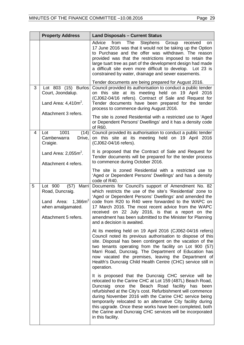|   | <b>Property Address</b>                                                                                                  | <b>Land Disposals - Current Status</b>                                                                                                                                                                                                                                                                                                                                                                                                                                                                           |
|---|--------------------------------------------------------------------------------------------------------------------------|------------------------------------------------------------------------------------------------------------------------------------------------------------------------------------------------------------------------------------------------------------------------------------------------------------------------------------------------------------------------------------------------------------------------------------------------------------------------------------------------------------------|
|   |                                                                                                                          | Advice<br>from<br>The<br><b>Stephens</b><br>Group<br>received<br><b>on</b><br>17 June 2016 was that it would not be taking up the Option<br>to Purchase and the offer was withdrawn. The reason<br>provided was that the restrictions imposed to retain the<br>large tuart tree as part of the development design had made<br>a difficult site even more difficult to develop. Lot 23 is<br>constrained by water, drainage and sewer easements.                                                                  |
|   |                                                                                                                          | Tender documents are being prepared for August 2016.                                                                                                                                                                                                                                                                                                                                                                                                                                                             |
| 3 | Lot 803 (15) Burlos<br>Court, Joondalup.<br>Land Area: $4,410m^2$ .                                                      | Council provided its authorisation to conduct a public tender<br>on this site at its meeting held on 19 April 2016<br>(CJ062-04/16 refers). Contract of Sale and Request for<br>Tender documents have been prepared for the tender<br>process to commence during August 2016.                                                                                                                                                                                                                                    |
|   | Attachment 3 refers.                                                                                                     | The site is zoned Residential with a restricted use to 'Aged<br>or Dependent Persons' Dwellings' and it has a density code<br>of R60.                                                                                                                                                                                                                                                                                                                                                                            |
| 4 | 1001<br>Lot<br>(14)<br>Camberwarra<br>Drive,<br>Craigie.                                                                 | Council provided its authorisation to conduct a public tender<br>on this site at its meeting held on 19 April 2016<br>(CJ062-04/16 refers).                                                                                                                                                                                                                                                                                                                                                                      |
|   | Land Area: $2,055m^2$ .<br>Attachment 4 refers.                                                                          | It is proposed that the Contract of Sale and Request for<br>Tender documents will be prepared for the tender process<br>to commence during October 2016.                                                                                                                                                                                                                                                                                                                                                         |
|   |                                                                                                                          | The site is zoned Residential with a restricted use to<br>'Aged or Dependent Persons' Dwellings' and has a density<br>code of R40.                                                                                                                                                                                                                                                                                                                                                                               |
| 5 | Lot 900<br>(57)<br>Marri<br>Road, Duncraig.<br>1,366 $m^2$<br>Area:<br>Land<br>when amalgamated.<br>Attachment 5 refers. | Documents for Council's support of Amendment No. 82<br>which restricts the use of the site's 'Residential' zone to<br>'Aged or Dependent Persons' Dwellings' and amended the<br>code from R20 to R40 were forwarded to the WAPC on<br>17 March 2016. The most recent advice from the WAPC<br>received on 22 July 2016, is that a report on the<br>amendment has been submitted to the Minister for Planning<br>and a decision is awaited.                                                                        |
|   |                                                                                                                          | At its meeting held on 19 April 2016 (CJ062-04/16 refers)<br>Council noted its previous authorisation to dispose of this<br>site. Disposal has been contingent on the vacation of the<br>two tenants operating from the facility on Lot 900 (57)<br>Marri Road, Duncraig. The Department of Education has<br>now vacated the premises, leaving the Department of<br>Health's Duncraig Child Health Centre (CHC) service still in<br>operation.                                                                   |
|   |                                                                                                                          | It is proposed that the Duncraig CHC service will be<br>relocated to the Carine CHC at Lot 159 (487L) Beach Road,<br>once the Beach Road facility has<br>Duncraig<br>been<br>refurbished at the City's cost. Refurbishment will commence<br>during November 2016 with the Carine CHC service being<br>temporarily relocated to an alternative City facility during<br>this upgrade. Once these works have been completed, both<br>the Carine and Duncraig CHC services will be incorporated<br>in this facility. |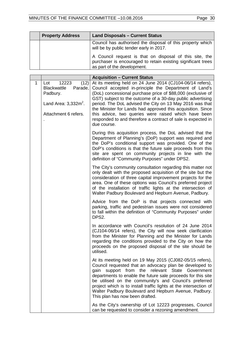| <b>Property Address</b> | <b>Land Disposals - Current Status</b>                                                                                                                 |
|-------------------------|--------------------------------------------------------------------------------------------------------------------------------------------------------|
|                         | Council has authorised the disposal of this property which<br>will be by public tender early in 2017.                                                  |
|                         | A Council request is that on disposal of this site, the<br>purchaser is encouraged to retain existing significant trees<br>as part of the development. |

|   |                                                                                                                      | <b>Acquisition - Current Status</b>                                                                                                                                                                                                                                                                                                                                                                                                                                                                                |
|---|----------------------------------------------------------------------------------------------------------------------|--------------------------------------------------------------------------------------------------------------------------------------------------------------------------------------------------------------------------------------------------------------------------------------------------------------------------------------------------------------------------------------------------------------------------------------------------------------------------------------------------------------------|
| 1 | 12223<br>(12)<br>Lot<br>Parade,<br><b>Blackwattle</b><br>Padbury.<br>Land Area: $3,332m^2$ .<br>Attachment 6 refers. | At its meeting held on 24 June 2014 (CJ104-06/14 refers),<br>Council accepted in-principle the Department of Land's<br>(DoL) concessional purchase price of \$88,000 (exclusive of<br>GST) subject to the outcome of a 30-day public advertising<br>period. The DoL advised the City on 13 May 2016 was that<br>the Minister for Lands had approved this acquisition. Since<br>this advice, two queries were raised which have been<br>responded to and therefore a contract of sale is expected in<br>due course. |
|   |                                                                                                                      | During this acquisition process, the DoL advised that the<br>Department of Planning's (DoP) support was required and<br>the DoP's conditional support was provided. One of the<br>DoP's conditions is that the future sale proceeds from this<br>site are spent on community projects in line with the<br>definition of "Community Purposes" under DPS2.                                                                                                                                                           |
|   |                                                                                                                      | The City's community consultation regarding this matter not<br>only dealt with the proposed acquisition of the site but the<br>consideration of three capital improvement projects for the<br>area. One of these options was Council's preferred project<br>of the installation of traffic lights at the intersection of<br>Walter Padbury Boulevard and Hepburn Avenue, Padbury.                                                                                                                                  |
|   |                                                                                                                      | Advice from the DoP is that projects connected with<br>parking, traffic and pedestrian issues were not considered<br>to fall within the definition of "Community Purposes" under<br>DPS2.                                                                                                                                                                                                                                                                                                                          |
|   |                                                                                                                      | In accordance with Council's resolution of 24 June 2014<br>(CJ104-06/14 refers), the City will now seek clarification<br>from the Minister for Planning and the Minister for Lands<br>regarding the conditions provided to the City on how the<br>proceeds on the proposed disposal of the site should be<br>utilised.                                                                                                                                                                                             |
|   |                                                                                                                      | At its meeting held on 19 May 2015 (CJ082-05/15 refers),<br>Council requested that an advocacy plan be developed to<br>relevant State Government<br>support from<br>the<br>gain<br>departments to enable the future sale proceeds for this site<br>be utilised on the community's and Council's preferred<br>project which is to install traffic lights at the intersection of<br>Walter Padbury Boulevard and Hepburn Avenue, Padbury.<br>This plan has now been drafted.                                         |
|   |                                                                                                                      | As the City's ownership of Lot 12223 progresses, Council<br>can be requested to consider a rezoning amendment.                                                                                                                                                                                                                                                                                                                                                                                                     |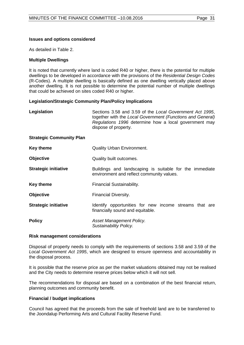# **Issues and options considered**

As detailed in Table 2.

# **Multiple Dwellings**

It is noted that currently where land is coded R40 or higher, there is the potential for multiple dwellings to be developed in accordance with the provisions of the *Residential Design Codes*  (R-Codes). A multiple dwelling is basically defined as one dwelling vertically placed above another dwelling. It is not possible to determine the potential number of multiple dwellings that could be achieved on sites coded R40 or higher.

# **Legislation/Strategic Community Plan/Policy Implications**

| Legislation                     | Sections 3.58 and 3.59 of the Local Government Act 1995,<br>together with the Local Government (Functions and General)<br>Regulations 1996 determine how a local government may<br>dispose of property. |
|---------------------------------|---------------------------------------------------------------------------------------------------------------------------------------------------------------------------------------------------------|
| <b>Strategic Community Plan</b> |                                                                                                                                                                                                         |
| <b>Key theme</b>                | <b>Quality Urban Environment.</b>                                                                                                                                                                       |
| <b>Objective</b>                | Quality built outcomes.                                                                                                                                                                                 |
| <b>Strategic initiative</b>     | Buildings and landscaping is suitable for the immediate<br>environment and reflect community values.                                                                                                    |
| Key theme                       | Financial Sustainability.                                                                                                                                                                               |
| <b>Objective</b>                | Financial Diversity.                                                                                                                                                                                    |
| <b>Strategic initiative</b>     | Identify opportunities for new income streams that are<br>financially sound and equitable.                                                                                                              |
| <b>Policy</b>                   | Asset Management Policy.<br>Sustainability Policy.                                                                                                                                                      |

#### **Risk management considerations**

Disposal of property needs to comply with the requirements of sections 3.58 and 3.59 of the *Local Government Act 1995*, which are designed to ensure openness and accountability in the disposal process.

It is possible that the reserve price as per the market valuations obtained may not be realised and the City needs to determine reserve prices below which it will not sell.

The recommendations for disposal are based on a combination of the best financial return, planning outcomes and community benefit.

# **Financial / budget implications**

Council has agreed that the proceeds from the sale of freehold land are to be transferred to the Joondalup Performing Arts and Cultural Facility Reserve Fund.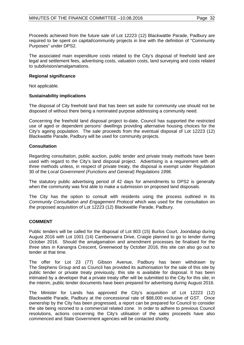Proceeds achieved from the future sale of Lot 12223 (12) Blackwattle Parade, Padbury are required to be spent on capital/community projects in line with the definition of "Community Purposes" under DPS2.

The associated main expenditure costs related to the City's disposal of freehold land are legal and settlement fees, advertising costs, valuation costs, land surveying and costs related to subdivision/amalgamations.

## **Regional significance**

Not applicable.

# **Sustainability implications**

The disposal of City freehold land that has been set aside for community use should not be disposed of without there being a nominated purpose addressing a community need.

Concerning the freehold land disposal project to-date, Council has supported the restricted use of aged or dependent persons' dwellings providing alternative housing choices for the City's ageing population. The sale proceeds from the eventual disposal of Lot 12223 (12) Blackwattle Parade, Padbury will be used for community projects.

### **Consultation**

Regarding consultation, public auction, public tender and private treaty methods have been used with regard to the City's land disposal project. Advertising is a requirement with all three methods unless, in respect of private treaty, the disposal is exempt under Regulation 30 of the *Local Government (Functions and General) Regulations 1996.*

The statutory public advertising period of 42 days for amendments to DPS2 is generally when the community was first able to make a submission on proposed land disposals.

The City has the option to consult with residents using the process outlined in its *Community Consultation and Engagement Protocol* which was used for the consultation on the proposed acquisition of Lot 12223 (12) Blackwattle Parade, Padbury.

# **COMMENT**

Public tenders will be called for the disposal of Lot 803 (15) Burlos Court, Joondalup during August 2016 with Lot 1001 (14) Camberwarra Drive, Craigie planned to go to tender during October 2016. Should the amalgamation and amendment processes be finalised for the three sites in Kanangra Crescent, Greenwood by October 2016, this site can also go out to tender at that time.

The offer for Lot 23 (77) Gibson Avenue, Padbury has been withdrawn by The Stephens Group and as Council has provided its authorisation for the sale of this site by public tender or private treaty previously, this site is available for disposal. It has been intimated by a developer that a private treaty offer will be submitted to the City for this site; in the interim, public tender documents have been prepared for advertising during August 2016.

The Minister for Lands has approved the City's acquisition of Lot 12223 (12) Blackwattle Parade, Padbury at the concessional rate of \$88,000 exclusive of GST. Once ownership by the City has been progressed, a report can be prepared for Council to consider the site being rezoned to a commercial related zone. In order to adhere to previous Council resolutions, actions concerning the City's utilisation of the sales proceeds have also commenced and State Government agencies will be contacted shortly.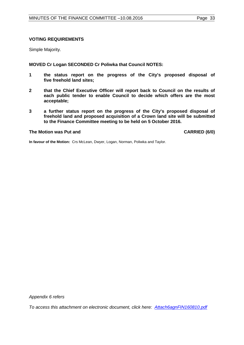## **VOTING REQUIREMENTS**

Simple Majority.

**MOVED Cr Logan SECONDED Cr Poliwka that Council NOTES:**

- **1 the status report on the progress of the City's proposed disposal of five freehold land sites;**
- **2 that the Chief Executive Officer will report back to Council on the results of each public tender to enable Council to decide which offers are the most acceptable;**
- **3 a further status report on the progress of the City's proposed disposal of freehold land and proposed acquisition of a Crown land site will be submitted to the Finance Committee meeting to be held on 5 October 2016.**

# **The Motion was Put and CARRIED (6/0)**

**In favour of the Motion:** Crs McLean, Dwyer, Logan, Norman, Poliwka and Taylor.

*Appendix 6 refers*

*[To access this attachment on electronic document, click here: Attach6agnFIN160810.pdf](http://www.joondalup.wa.gov.au/files/committees/FINC/2016/Attach6agnFIN160810.pdf)*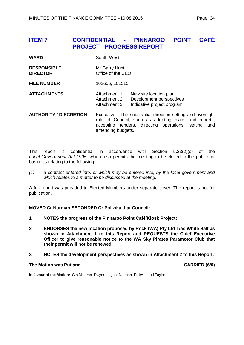# <span id="page-33-0"></span>**ITEM 7 CONFIDENTIAL - PINNAROO POINT CAFÉ PROJECT - PROGRESS REPORT**

| WARD | South-West |
|------|------------|
|      |            |

**RESPONSIBLE** Mr Garry Hunt<br> **DIRECTOR** Office of the C **Diffice of the CEO** 

**FILE NUMBER** 102656, 101515

# **ATTACHMENTS** Attachment 1 New site location plan Attachment 2 Development perspectives Attachment 3 Indicative project program

**AUTHORITY / DISCRETION** Executive - The substantial direction setting and oversight role of Council, such as adopting plans and reports, accepting tenders, directing operations, setting and amending budgets.

This report is confidential in accordance with Section 5.23(2)(c) of the *Local Government Act 1995*, which also permits the meeting to be closed to the public for business relating to the following:

*(c) a contract entered into, or which may be entered into, by the local government and which relates to a matter to be discussed at the meeting.*

A full report was provided to Elected Members under separate cover. The report is not for publication.

**MOVED Cr Norman SECONDED Cr Poliwka that Council:**

- **1 NOTES the progress of the Pinnaroo Point Café/Kiosk Project;**
- **2 ENDORSES the new location proposed by Rock (WA) Pty Ltd T/as White Salt as shown in Attachment 1 to this Report and REQUESTS the Chief Executive Officer to give reasonable notice to the WA Sky Pirates Paramotor Club that their permit will not be renewed;**
- **3 NOTES the development perspectives as shown in Attachment 2 to this Report.**

#### **The Motion was Put and CARRIED (6/0)**

**In favour of the Motion:** Crs McLean, Dwyer, Logan, Norman, Poliwka and Taylor.